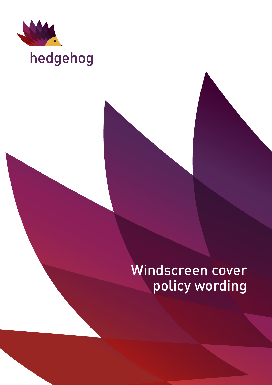

# hedgehog

## Windscreen cover policy wording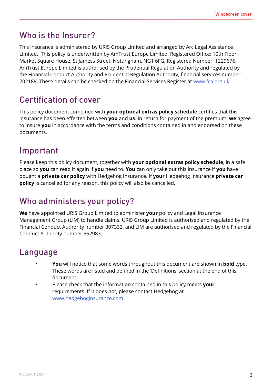### Who is the Insurer?

This insurance is administered by URIS Group Limited and arranged by Arc Legal Assistance Limited. This policy is underwritten by AmTrust Europe Limited, Registered Office: 10th Floor Market Square House, St Jamess Street, Nottingham, NG1 6FG, Registered Number: 1229676. AmTrust Europe Limited is authorised by the Prudential Regulation Authority and regulated by the Financial Conduct Authority and Prudential Regulation Authority, financial services number: 202189. These details can be checked on the Financial Services Register at www.fca.org.uk.

### Certification of cover

This policy document combined with **your optional extras policy schedule** certifies that this insurance has been effected between **you** and **us**. In return for payment of the premium, **we** agree to insure **you** in accordance with the terms and conditions contained in and endorsed on these documents.

### Important

Please keep this policy document, together with **your optional extras policy schedule**, in a safe place so **you** can read it again if **you** need to. **You** can only take out this insurance if **you** have bought a **private car policy** with Hedgehog Insurance. If **your** Hedgehog Insurance **private car policy** is cancelled for any reason, this policy will also be cancelled.

### Who administers your policy?

**We** have appointed URIS Group Limited to administer **your** policy and Legal Insurance Management Group (LIM) to handle claims. URIS Group Limited is authorised and regulated by the Financial Conduct Authority number 307332, and LIM are authorised and regulated by the Financial Conduct Authority number 552983.

### Language

- **You** will notice that some words throughout this document are shown in **bold** type. These words are listed and defined in the 'Definitions' section at the end of this document.
- Please check that the information contained in this policy meets **your** requirements. If it does not, please contact Hedgehog at [www.hedgehoginsurance.com](https://www.hedgehoginsurance.com/)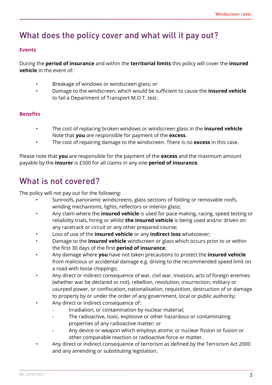### What does the policy cover and what will it pay out?

#### **Events**

During the **period of insurance** and within the **territorial limits** this policy will cover the **insured vehicle** in the event of:

- Breakage of windows or windscreen glass; or
- Damage to the windscreen, which would be sufficient to cause the **insured vehicle** to fail a Department of Transport M.O.T. test.

#### **Benefits**

- T he cost of replacing broken windows or windscreen glass in the **insured vehicle** Note that **you** are responsible for payment of the **excess**.
- The cost of repairing damage to the windscreen. There is no **excess** in this case.

Please note that **you** are responsible for the payment of the **excess** and the maximum amount payable by the **insurer** is £500 for all claims in any one **period of insurance**.

### What is not covered?

The policy will not pay out for the following:

- Sunroofs, panoramic windscreens, glass sections of folding or removable roofs, winding mechanisms, lights, reflectors or interior glass;
- Any claim where the **insured vehicle** is used for pace making, racing, speed testing or reliability trials, hiring or whilst **the insured vehicle** is being used and/or driven on any racetrack or circuit or any other prepared course;
- Loss of use of the **insured vehicle** or any **indirect loss** whatsoever;
- Damage to the **insured vehicle** windscreen or glass which occurs prior to or within the first 30 days of the first **period of insurance**;
- Any damage where **you** have not taken precautions to protect the **insured vehicle** from malicious or accidental damage e.g. driving to the recommended speed limit on a road with loose chippings;
- Any direct or indirect consequence of war, civil war, invasion, acts of foreign enemies (whether war be declared or not), rebellion, revolution, insurrection, military or usurped power, or confiscation, nationalisation, requisition, destruction of or damage to property by or under the order of any government, local or public authority;
- Any direct or indirect consequence of:
	- Irradiation, or contamination by nuclear material;
	- The radioactive, toxic, explosive or other hazardous or contaminating properties of any radioactive matter; or
	- Any device or weapon which employs atomic or nuclear fission or fusion or other comparable reaction or radioactive force or matter.
- Any direct or indirect consequence of terrorism as defined by the Terrorism Act 2000 and any amending or substituting legislation.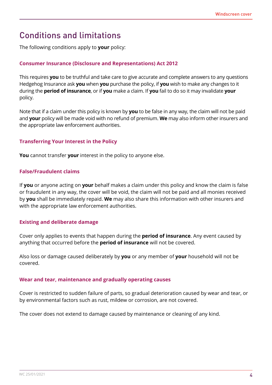### Conditions and limitations

The following conditions apply to **your** policy:

#### **Consumer Insurance (Disclosure and Representations) Act 2012**

This requires **you** to be truthful and take care to give accurate and complete answers to any questions Hedgehog Insurance ask **you** when **you** purchase the policy, if **you** wish to make any changes to it during the **period of insurance**, or if **you** make a claim. If **you** fail to do so it may invalidate **your** policy.

Note that if a claim under this policy is known by **you** to be false in any way, the claim will not be paid and **your** policy will be made void with no refund of premium. **We** may also inform other insurers and the appropriate law enforcement authorities.

#### **Transferring Your Interest in the Policy**

**You** cannot transfer **your** interest in the policy to anyone else.

#### **False/Fraudulent claims**

If **you** or anyone acting on **your** behalf makes a claim under this policy and know the claim is false or fraudulent in any way, the cover will be void, the claim will not be paid and all monies received by **you** shall be immediately repaid. **We** may also share this information with other insurers and with the appropriate law enforcement authorities.

#### **Existing and deliberate damage**

Cover only applies to events that happen during the **period of insurance**. Any event caused by anything that occurred before the **period of insurance** will not be covered.

Also loss or damage caused deliberately by **you** or any member of **your** household will not be covered.

#### **Wear and tear, maintenance and gradually operating causes**

Cover is restricted to sudden failure of parts, so gradual deterioration caused by wear and tear, or by environmental factors such as rust, mildew or corrosion, are not covered.

The cover does not extend to damage caused by maintenance or cleaning of any kind.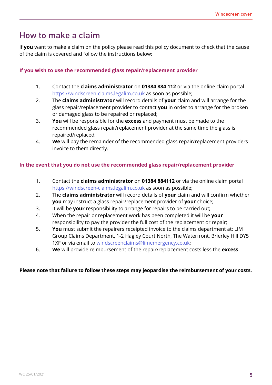### How to make a claim

If **you** want to make a claim on the policy please read this policy document to check that the cause of the claim is covered and follow the instructions below:

#### **If you wish to use the recommended glass repair/replacement provider**

- 1. Contact the **claims administrator** on **01384 884 112** or via the online claim portal <https://windscreen-claims.legalim.co.uk> as soon as possible;
- 2. The **claims administrator** will record details of **your** claim and will arrange for the glass repair/replacement provider to contact **you** in order to arrange for the broken or damaged glass to be repaired or replaced;
- 3. **You** will be responsible for the **excess** and payment must be made to the recommended glass repair/replacement provider at the same time the glass is repaired/replaced;
- 4. **We** will pay the remainder of the recommended glass repair/replacement providers invoice to them directly.

#### **In the event that you do not use the recommended glass repair/replacement provider**

- 1. Contact the **claims administrator** on **01384 884112** or via the online claim portal <https://windscreen-claims.legalim.co.uk> as soon as possible;
- 2. The **claims administrator** will record details of **your** claim and will confirm whether **you** may instruct a glass repair/replacement provider of **your** choice;
- 3. It will be **your** responsibility to arrange for repairs to be carried out;
- 4. When the repair or replacement work has been completed it will be **your** responsibility to pay the provider the full cost of the replacement or repair;
- 5. **You** must submit the repairers receipted invoice to the claims department at: LIM Group Claims Department, 1-2 Hagley Court North, The Waterfront, Brierley Hill DY5 1XF or via email to [windscreenclaims@limemergency.co.uk;](mailto:windscreenclaims@limemergency.co.uk)
- 6. **We** will provide reimbursement of the repair/replacement costs less the **excess**.

#### **Please note that failure to follow these steps may jeopardise the reimbursement of your costs.**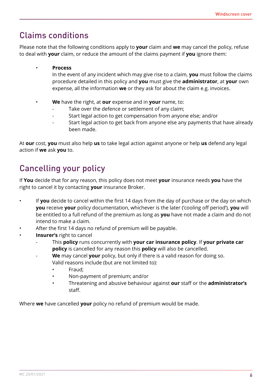### Claims conditions

Please note that the following conditions apply to **your** claim and **we** may cancel the policy, refuse to deal with **your** claim, or reduce the amount of the claims payment if **you** ignore them:

• **Process**

In the event of any incident which may give rise to a claim, **you** must follow the claims procedure detailed in this policy and **you** must give the **administrator**, at **your** own expense, all the information **we** or they ask for about the claim e.g. invoices.

- **We** have the right, at **our** expense and in **your** name, to:
	- Take over the defence or settlement of any claim;
	- Start legal action to get compensation from anyone else; and/or
	- Start legal action to get back from anyone else any payments that have already been made.

At **our** cost, **you** must also help **us** to take legal action against anyone or help **us** defend any legal action if **we** ask **you** to.

### Cancelling your policy

If **You** decide that for any reason, this policy does not meet **your** insurance needs **you** have the right to cancel it by contacting **your** insurance Broker.

- If **you** decide to cancel within the first 14 days from the day of purchase or the day on which **you** receive **your** policy documentation, whichever is the later ('cooling off period'), **you** will be entitled to a full refund of the premium as long as **you** have not made a claim and do not intend to make a claim.
- After the first 14 days no refund of premium will be payable.
- **Insurer's** right to cancel
	- This **policy** runs concurrently with **your car insurance policy**. If **your private car policy** is cancelled for any reason this **policy** will also be cancelled.
		- We may cancel **your** policy, but only if there is a valid reason for doing so. Valid reasons include (but are not limited to):
			- Fraud;
			- Non-payment of premium; and/or
			- Threatening and abusive behaviour against **our** staff or the **administrator's** staff.

Where **we** have cancelled **your** policy no refund of premium would be made.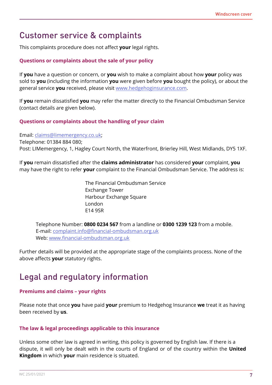### Customer service & complaints

This complaints procedure does not affect **your** legal rights.

#### **Questions or complaints about the sale of your policy**

If **you** have a question or concern, or **you** wish to make a complaint about how **your** policy was sold to **you** (including the information **you** were given before **you** bought the policy), or about the general service **you** received, please visit [www.hedgehoginsurance.com.](www.hedgehoginsurance.com)

If **you** remain dissatisfied **you** may refer the matter directly to the Financial Ombudsman Service (contact details are given below).

#### **Questions or complaints about the handling of your claim**

Email: [claims@limemergency.co.uk;](mailto:claims@limemergency.co.uk) Telephone: 01384 884 080; Post: LIMemergency, 1, Hagley Court North, the Waterfront, Brierley Hill, West Midlands, DY5 1XF.

If **you** remain dissatisfied after the **claims administrator** has considered **your** complaint, **you** may have the right to refer **your** complaint to the Financial Ombudsman Service. The address is:

> The Financial Ombudsman Service Exchange Tower Harbour Exchange Square London E14 9SR

Telephone Number: **0800 0234 567** from a landline or **0300 1239 123** from a mobile. E-mail: [complaint.info@financial-ombudsman.org.uk](Mailto: complaint.info@financial-ombudsman.org.uk) Web:<www.financial-ombudsman.org.uk>

Further details will be provided at the appropriate stage of the complaints process. None of the above affects **your** statutory rights.

### Legal and regulatory information

#### **Premiums and claims – your rights**

Please note that once **you** have paid **your** premium to Hedgehog Insurance **we** treat it as having been received by **us**.

#### **The law & legal proceedings applicable to this insurance**

Unless some other law is agreed in writing, this policy is governed by English law. If there is a dispute, it will only be dealt with in the courts of England or of the country within the **United Kingdom** in which **your** main residence is situated.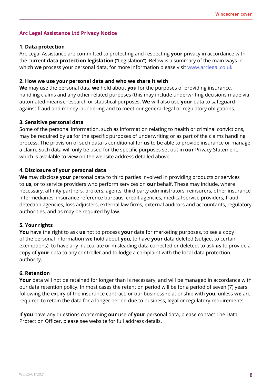#### **Arc Legal Assistance Ltd Privacy Notice**

#### **1. Data protection**

Arc Legal Assistance are committed to protecting and respecting **your** privacy in accordance with the current **data protection legislation** ("Legislation"). Below is a summary of the main ways in which **we** process your personal data, for more information please visit [www.arclegal.co.uk](http://www.arclegal.co.uk)

#### **2. How we use your personal data and who we share it with**

**We** may use the personal data **we** hold about **you** for the purposes of providing insurance, handling claims and any other related purposes (this may include underwriting decisions made via automated means), research or statistical purposes. **We** will also use **your** data to safeguard against fraud and money laundering and to meet our general legal or regulatory obligations.

#### **3. Sensitive personal data**

Some of the personal information, such as information relating to health or criminal convictions, may be required by **us** for the specific purposes of underwriting or as part of the claims handling process. The provision of such data is conditional for **us** to be able to provide insurance or manage a claim. Such data will only be used for the specific purposes set out in **our** Privacy Statement, which is available to view on the website address detailed above.

#### **4. Disclosure of your personal data**

**We** may disclose **your** personal data to third parties involved in providing products or services to **us**, or to service providers who perform services on **our** behalf. These may include, where necessary, affinity partners, brokers, agents, third party administrators, reinsurers, other insurance intermediaries, insurance reference bureaus, credit agencies, medical service providers, fraud detection agencies, loss adjusters, external law firms, external auditors and accountants, regulatory authorities, and as may be required by law.

#### **5. Your rights**

**You** have the right to ask **us** not to process **your** data for marketing purposes, to see a copy of the personal information **we** hold about **you**, to have **your** data deleted (subject to certain exemptions), to have any inaccurate or misleading data corrected or deleted, to ask **us** to provide a copy of **your** data to any controller and to lodge a complaint with the local data protection authority.

#### **6. Retention**

**Your** data will not be retained for longer than is necessary, and will be managed in accordance with our data retention policy. In most cases the retention period will be for a period of seven (7) years following the expiry of the insurance contract, or our business relationship with **you**, unless **we** are required to retain the data for a longer period due to business, legal or regulatory requirements.

If **you** have any questions concerning **our** use of **your** personal data, please contact The Data Protection Officer, please see website for full address details.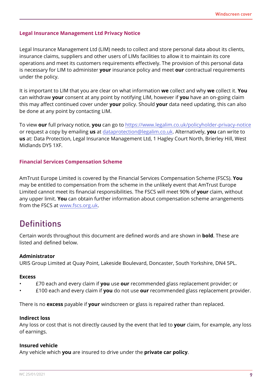#### **Legal Insurance Management Ltd Privacy Notice**

Legal Insurance Management Ltd (LIM) needs to collect and store personal data about its clients, insurance claims, suppliers and other users of LIMs facilities to allow it to maintain its core operations and meet its customers requirements effectively. The provision of this personal data is necessary for LIM to administer **your** insurance policy and meet **our** contractual requirements under the policy.

It is important to LIM that you are clear on what information **we** collect and why **we** collect it. **You** can withdraw **your** consent at any point by notifying LIM, however if **you** have an on-going claim this may affect continued cover under **your** policy. Should **your** data need updating, this can also be done at any point by contacting LIM.

To view **our** full privacy notice, **you** can go to <https://www.legalim.co.uk/policyholder-privacy-notice> or request a copy by emailing **us** at [dataprotection@legalim.co.uk](mailto:dataprotection@legalim.co.uk). Alternatively, **you** can write to **us** at: Data Protection, Legal Insurance Management Ltd, 1 Hagley Court North, Brierley Hill, West Midlands DY5 1XF.

#### **Financial Services Compensation Scheme**

AmTrust Europe Limited is covered by the Financial Services Compensation Scheme (FSCS). **You** may be entitled to compensation from the scheme in the unlikely event that AmTrust Europe Limited cannot meet its financial responsibilities. The FSCS will meet 90% of **your** claim, without any upper limit. **You** can obtain further information about compensation scheme arrangements from the FSCS at [www.fscs.org.uk.](http://www.fscs.org.uk)

### **Definitions**

Certain words throughout this document are defined words and are shown in **bold**. These are listed and defined below.

#### **Administrator**

URIS Group Limited at Quay Point, Lakeside Boulevard, Doncaster, South Yorkshire, DN4 5PL.

#### **Excess**

- £70 each and every claim if **you** use **our** recommended glass replacement provider; or
- £100 each and every claim if **you** do not use **our** recommended glass replacement provider.

There is no **excess** payable if **your** windscreen or glass is repaired rather than replaced.

#### **Indirect loss**

Any loss or cost that is not directly caused by the event that led to **your** claim, for example, any loss of earnings.

#### **Insured vehicle**

Any vehicle which **you** are insured to drive under the **private car policy**.